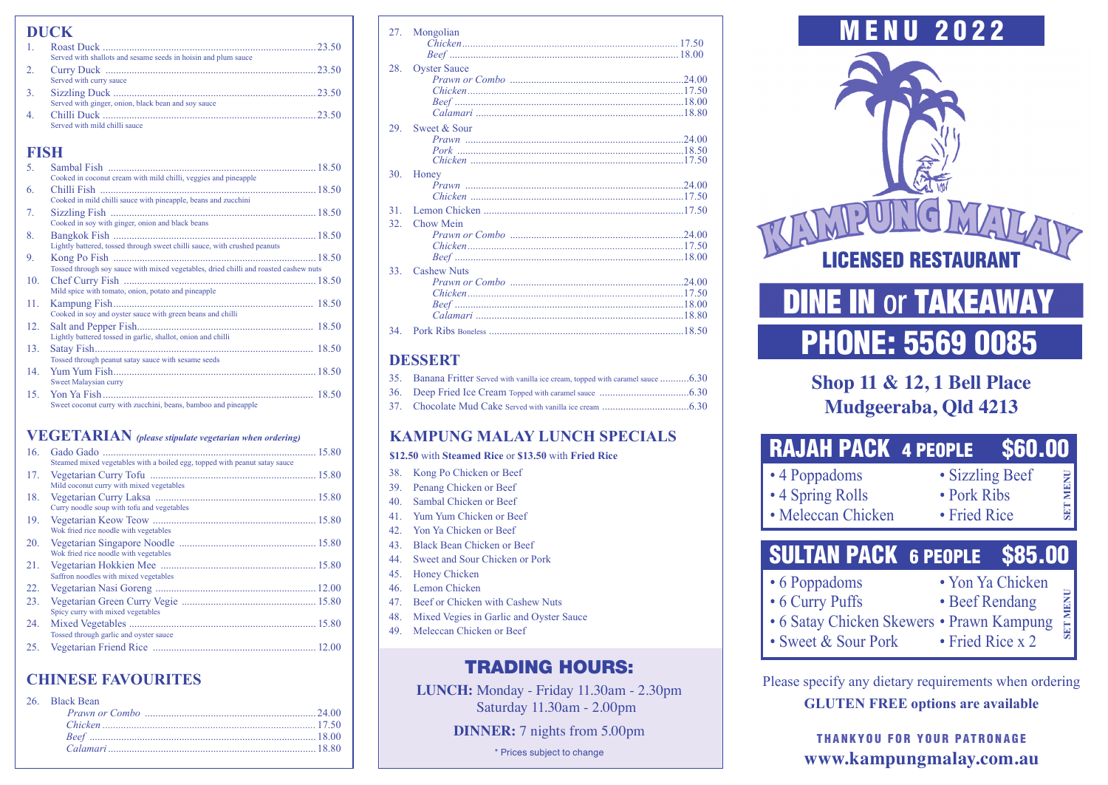|               | <b>DUCK</b>                                                    |  |  |
|---------------|----------------------------------------------------------------|--|--|
|               | Served with shallots and sesame seeds in hoisin and plum sauce |  |  |
| 2.            | 23.50<br>Served with curry sauce                               |  |  |
| $\mathcal{R}$ | Served with ginger, onion, black bean and soy sauce            |  |  |
|               | 23.50<br>Served with mild chilli sauce                         |  |  |

## **FISH**

| 5.  |                                                                                      |
|-----|--------------------------------------------------------------------------------------|
|     | Cooked in coconut cream with mild chilli, veggies and pineapple                      |
| 6.  | Chilli Fish                                                                          |
|     | Cooked in mild chilli sauce with pineapple, beans and zucchini                       |
| 7.  |                                                                                      |
|     | Cooked in soy with ginger, onion and black beans                                     |
| 8.  |                                                                                      |
|     | Lightly battered, tossed through sweet chilli sauce, with crushed peanuts            |
| 9.  |                                                                                      |
|     | Tossed through soy sauce with mixed vegetables, dried chilli and roasted cashew nuts |
| 10. |                                                                                      |
|     | Mild spice with tomato, onion, potato and pineapple                                  |
| 11. |                                                                                      |
|     | Cooked in soy and oyster sauce with green beans and chilli                           |
| 12. |                                                                                      |
|     | Lightly battered tossed in garlic, shallot, onion and chilli                         |
| 13. |                                                                                      |
|     | Tossed through peanut satay sauce with sesame seeds                                  |
| 14. |                                                                                      |
|     | Sweet Malaysian curry                                                                |
| 15. |                                                                                      |
|     | Sweet coconut curry with zucchini, beans, bamboo and pineapple                       |

# **VEGETARIAN** *(please stipulate vegetarian when ordering)*

| 16. | Gado Gado<br>Steamed mixed vegetables with a boiled egg, topped with peanut satay sauce |
|-----|-----------------------------------------------------------------------------------------|
| 17. | Mild coconut curry with mixed vegetables                                                |
| 18. | Curry noodle soup with tofu and vegetables                                              |
| 19. | Wok fried rice noodle with vegetables                                                   |
| 20. | Wok fried rice noodle with vegetables                                                   |
| 21. | Saffron noodles with mixed vegetables                                                   |
| 22. |                                                                                         |
| 23. | Spicy curry with mixed vegetables                                                       |
| 24. | Tossed through garlic and oyster sauce                                                  |
| 25. |                                                                                         |

# **CHINESE FAVOURITES**

| 26. Black Bean |  |
|----------------|--|
|                |  |
|                |  |
|                |  |
|                |  |
|                |  |

| 27. | Mongolian           |
|-----|---------------------|
|     |                     |
|     |                     |
| 28. | <b>Oyster Sauce</b> |
|     |                     |
|     |                     |
|     |                     |
|     |                     |
|     |                     |
| 29. | Sweet & Sour        |
|     |                     |
|     |                     |
|     |                     |
| 30. | Honey               |
|     |                     |
|     |                     |
| 31  |                     |
| 32. | Chow Mein           |
|     |                     |
|     |                     |
|     |                     |
| 33  | <b>Cashew Nuts</b>  |
|     |                     |
|     |                     |
|     |                     |
|     |                     |
| 34  |                     |
|     |                     |

# **DESSERT**

| 35. Banana Fritter Served with vanilla ice cream, topped with caramel sauce 6.30 |  |
|----------------------------------------------------------------------------------|--|
|                                                                                  |  |
|                                                                                  |  |

# **KAMPUNG MALAY LUNCH SPECIALS**

### **\$12.50** with **Steamed Rice** or **\$13.50** with **Fried Rice**

- 38. Kong Po Chicken or Beef
- 39. Penang Chicken or Beef
- 40. Sambal Chicken or Beef
- 41. Yum Yum Chicken or Beef
- 42. Yon Ya Chicken or Beef
- 43. Black Bean Chicken or Beef
- 44. Sweet and Sour Chicken or Pork
- 45. Honey Chicken
- 46. Lemon Chicken
- 47. Beef or Chicken with Cashew Nuts
- 48. Mixed Vegies in Garlic and Oyster Sauce
- 49. Meleccan Chicken or Beef

# TRADING HOURS:

**LUNCH:** Monday - Friday 11.30am - 2.30pm Saturday 11.30am - 2.00pm

**DINNER:** 7 nights from 5.00pm

\* Prices subject to change



# **DINE IN or TAKEAWAY** PHONE: 5569 0085

# **Shop 11 & 12, 1 Bell Place Mudgeeraba, Qld 4213**

| <b>RAJAH PACK 4 PEOPLE</b>                              |                                                | <b>\$60.00</b>  |
|---------------------------------------------------------|------------------------------------------------|-----------------|
| • 4 Poppadoms<br>• 4 Spring Rolls<br>• Meleccan Chicken | · Sizzling Beef<br>• Pork Ribs<br>• Fried Rice | <b>SET MENU</b> |
| <b>SULTAN PACK 6 PEOPLE \$85.00</b>                     |                                                |                 |

- 6 Poppadoms Yon Ya Chicken
- 6 Curry Puffs Beef Rendang
- **SET MENU SET MENU** • 6 Satay Chicken Skewers • Prawn Kampung
- Sweet & Sour Pork Fried Rice x 2

Please specify any dietary requirements when ordering **GLUTEN FREE options are available**

> THANKYOU FOR YOUR PATRONAGE **www.kampungmalay.com.au**